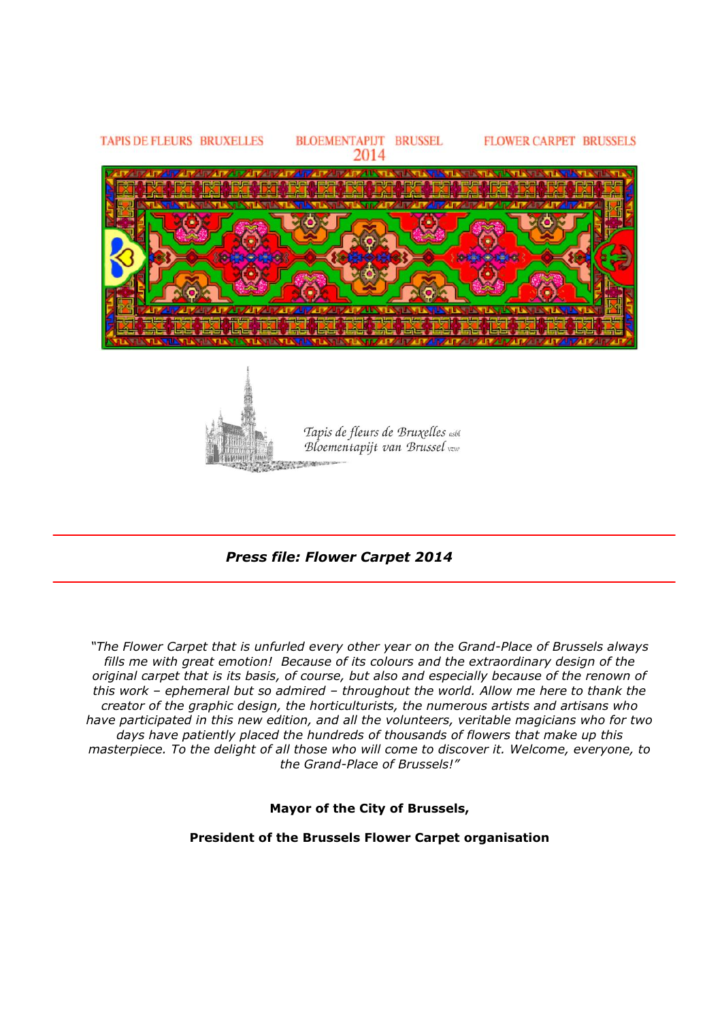

 *Press file: Flower Carpet 2014*

*"The Flower Carpet that is unfurled every other year on the Grand-Place of Brussels always fills me with great emotion! Because of its colours and the extraordinary design of the original carpet that is its basis, of course, but also and especially because of the renown of this work – ephemeral but so admired – throughout the world. Allow me here to thank the creator of the graphic design, the horticulturists, the numerous artists and artisans who have participated in this new edition, and all the volunteers, veritable magicians who for two days have patiently placed the hundreds of thousands of flowers that make up this masterpiece. To the delight of all those who will come to discover it. Welcome, everyone, to the Grand-Place of Brussels!"*

**Mayor of the City of Brussels,**

**President of the Brussels Flower Carpet organisation**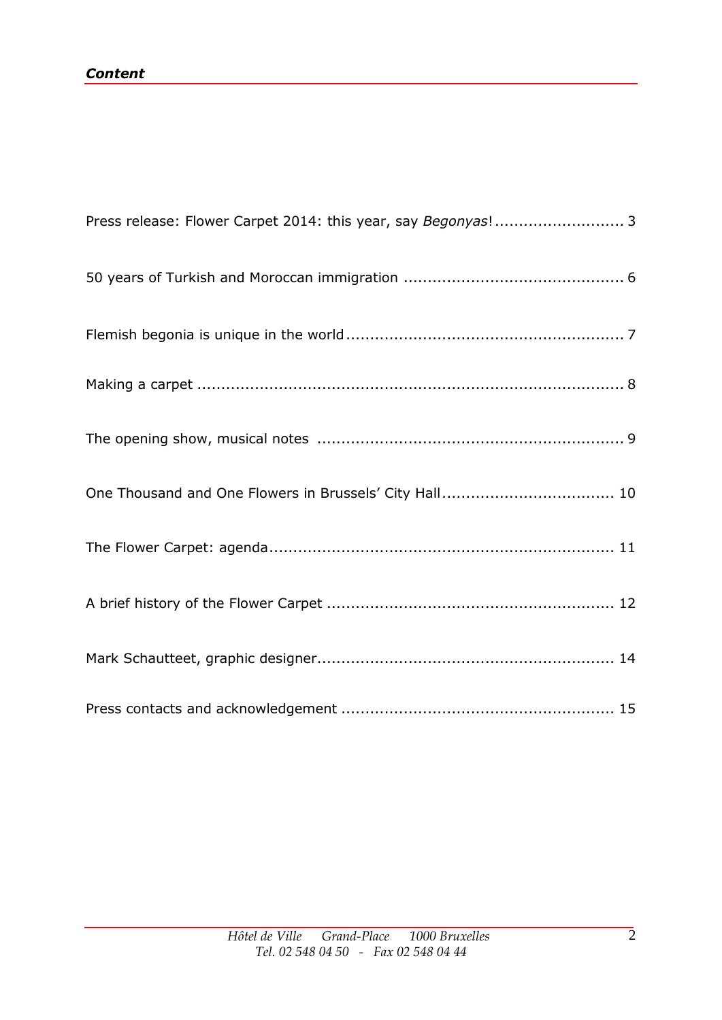| Press release: Flower Carpet 2014: this year, say Begonyas! 3 |
|---------------------------------------------------------------|
|                                                               |
|                                                               |
|                                                               |
|                                                               |
|                                                               |
|                                                               |
|                                                               |
|                                                               |
|                                                               |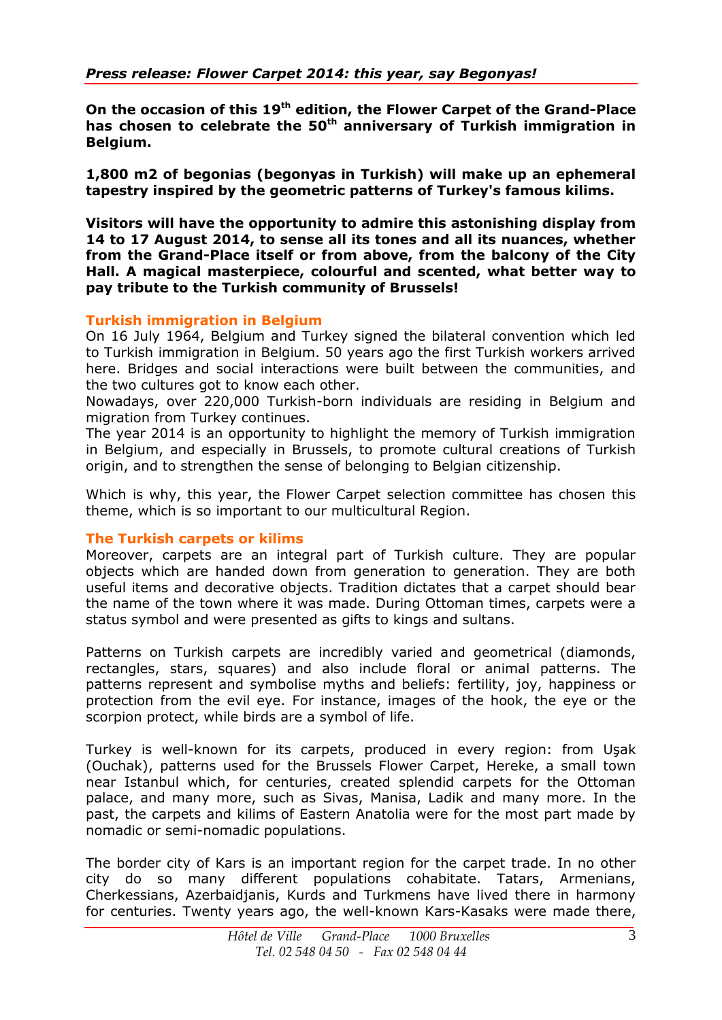**On the occasion of this 19th edition, the Flower Carpet of the Grand-Place has chosen to celebrate the 50th anniversary of Turkish immigration in Belgium.** 

**1,800 m2 of begonias (begonyas in Turkish) will make up an ephemeral tapestry inspired by the geometric patterns of Turkey's famous kilims.** 

**Visitors will have the opportunity to admire this astonishing display from 14 to 17 August 2014, to sense all its tones and all its nuances, whether from the Grand-Place itself or from above, from the balcony of the City Hall. A magical masterpiece, colourful and scented, what better way to pay tribute to the Turkish community of Brussels!** 

#### **Turkish immigration in Belgium**

On 16 July 1964, Belgium and Turkey signed the bilateral convention which led to Turkish immigration in Belgium. 50 years ago the first Turkish workers arrived here. Bridges and social interactions were built between the communities, and the two cultures got to know each other.

Nowadays, over 220,000 Turkish-born individuals are residing in Belgium and migration from Turkey continues.

The year 2014 is an opportunity to highlight the memory of Turkish immigration in Belgium, and especially in Brussels, to promote cultural creations of Turkish origin, and to strengthen the sense of belonging to Belgian citizenship.

Which is why, this year, the Flower Carpet selection committee has chosen this theme, which is so important to our multicultural Region.

#### **The Turkish carpets or kilims**

Moreover, carpets are an integral part of Turkish culture. They are popular objects which are handed down from generation to generation. They are both useful items and decorative objects. Tradition dictates that a carpet should bear the name of the town where it was made. During Ottoman times, carpets were a status symbol and were presented as gifts to kings and sultans.

Patterns on Turkish carpets are incredibly varied and geometrical (diamonds, rectangles, stars, squares) and also include floral or animal patterns. The patterns represent and symbolise myths and beliefs: fertility, joy, happiness or protection from the evil eye. For instance, images of the hook, the eye or the scorpion protect, while birds are a symbol of life.

Turkey is well-known for its carpets, produced in every region: from Uşak (Ouchak), patterns used for the Brussels Flower Carpet, Hereke, a small town near Istanbul which, for centuries, created splendid carpets for the Ottoman palace, and many more, such as Sivas, Manisa, Ladik and many more. In the past, the carpets and kilims of Eastern Anatolia were for the most part made by nomadic or semi-nomadic populations.

The border city of Kars is an important region for the carpet trade. In no other city do so many different populations cohabitate. Tatars, Armenians, Cherkessians, Azerbaidjanis, Kurds and Turkmens have lived there in harmony for centuries. Twenty years ago, the well-known Kars-Kasaks were made there,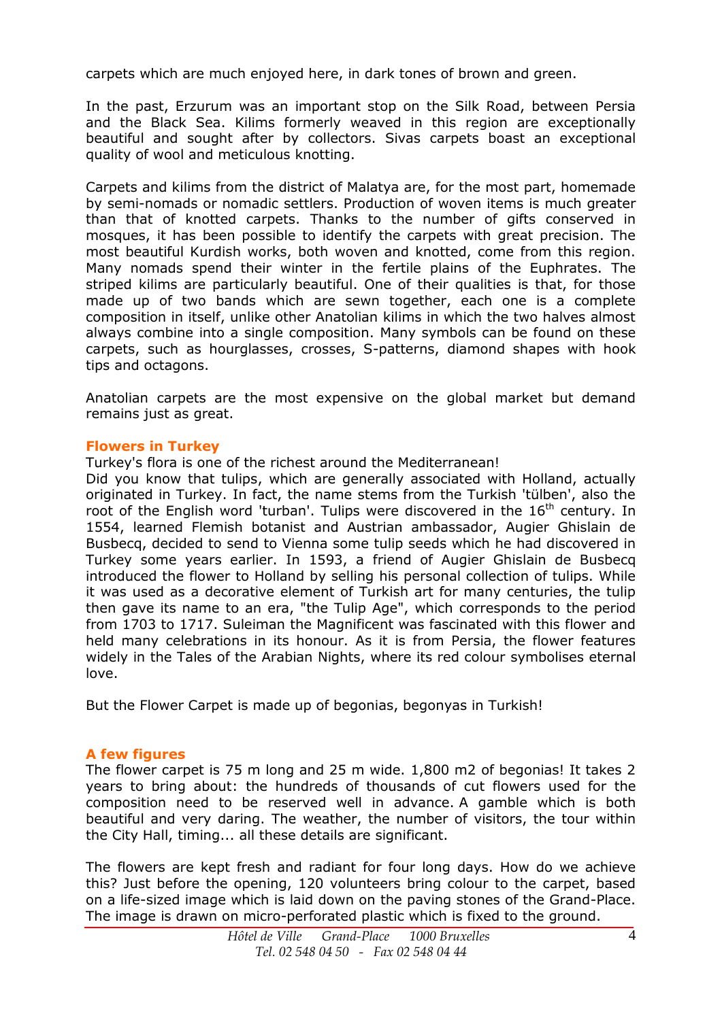carpets which are much enjoyed here, in dark tones of brown and green.

In the past, Erzurum was an important stop on the Silk Road, between Persia and the Black Sea. Kilims formerly weaved in this region are exceptionally beautiful and sought after by collectors. Sivas carpets boast an exceptional quality of wool and meticulous knotting.

Carpets and kilims from the district of Malatya are, for the most part, homemade by semi-nomads or nomadic settlers. Production of woven items is much greater than that of knotted carpets. Thanks to the number of gifts conserved in mosques, it has been possible to identify the carpets with great precision. The most beautiful Kurdish works, both woven and knotted, come from this region. Many nomads spend their winter in the fertile plains of the Euphrates. The striped kilims are particularly beautiful. One of their qualities is that, for those made up of two bands which are sewn together, each one is a complete composition in itself, unlike other Anatolian kilims in which the two halves almost always combine into a single composition. Many symbols can be found on these carpets, such as hourglasses, crosses, S-patterns, diamond shapes with hook tips and octagons.

Anatolian carpets are the most expensive on the global market but demand remains just as great.

## **Flowers in Turkey**

Turkey's flora is one of the richest around the Mediterranean!

Did you know that tulips, which are generally associated with Holland, actually originated in Turkey. In fact, the name stems from the Turkish 'tülben', also the root of the English word 'turban'. Tulips were discovered in the  $16<sup>th</sup>$  century. In 1554, learned Flemish botanist and Austrian ambassador, Augier Ghislain de Busbecq, decided to send to Vienna some tulip seeds which he had discovered in Turkey some years earlier. In 1593, a friend of Augier Ghislain de Busbecq introduced the flower to Holland by selling his personal collection of tulips. While it was used as a decorative element of Turkish art for many centuries, the tulip then gave its name to an era, "the Tulip Age", which corresponds to the period from 1703 to 1717. Suleiman the Magnificent was fascinated with this flower and held many celebrations in its honour. As it is from Persia, the flower features widely in the Tales of the Arabian Nights, where its red colour symbolises eternal love.

But the Flower Carpet is made up of begonias, begonyas in Turkish!

## **A few figures**

The flower carpet is 75 m long and 25 m wide. 1,800 m2 of begonias! It takes 2 years to bring about: the hundreds of thousands of cut flowers used for the composition need to be reserved well in advance. A gamble which is both beautiful and very daring. The weather, the number of visitors, the tour within the City Hall, timing... all these details are significant.

The flowers are kept fresh and radiant for four long days. How do we achieve this? Just before the opening, 120 volunteers bring colour to the carpet, based on a life-sized image which is laid down on the paving stones of the Grand-Place. The image is drawn on micro-perforated plastic which is fixed to the ground.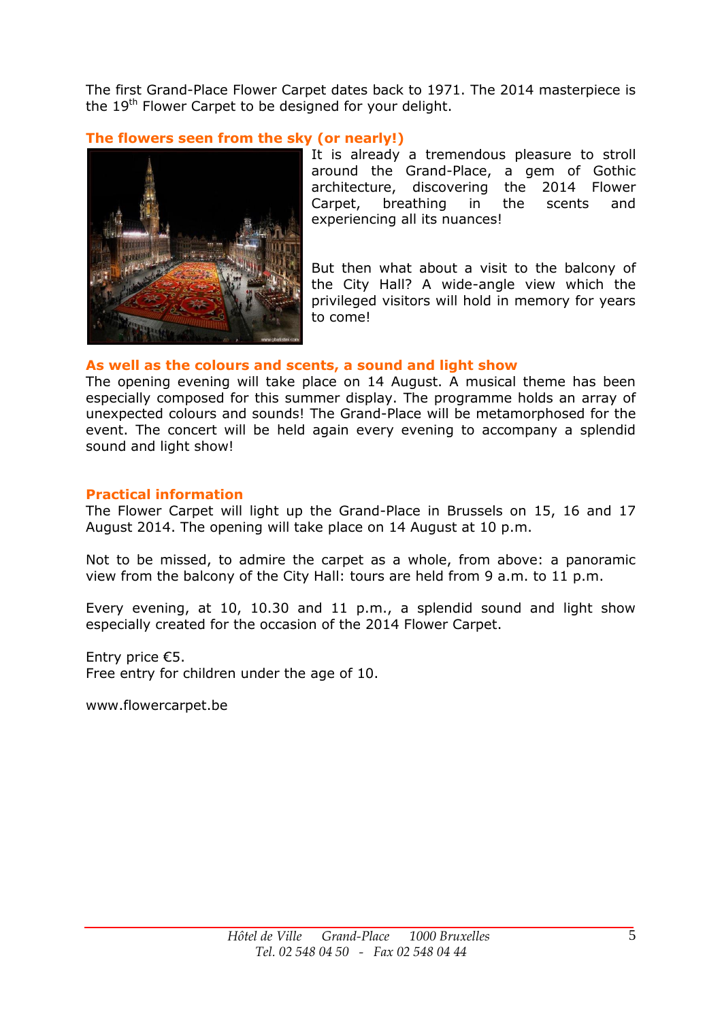The first Grand-Place Flower Carpet dates back to 1971. The 2014 masterpiece is the 19<sup>th</sup> Flower Carpet to be designed for your delight.

# **The flowers seen from the sky (or nearly!)**



It is already a tremendous pleasure to stroll around the Grand-Place, a gem of Gothic architecture, discovering the 2014 Flower Carpet, breathing in the scents and experiencing all its nuances!

But then what about a visit to the balcony of the City Hall? A wide-angle view which the privileged visitors will hold in memory for years to come!

#### **As well as the colours and scents, a sound and light show**

The opening evening will take place on 14 August. A musical theme has been especially composed for this summer display. The programme holds an array of unexpected colours and sounds! The Grand-Place will be metamorphosed for the event. The concert will be held again every evening to accompany a splendid sound and light show!

#### **Practical information**

The Flower Carpet will light up the Grand-Place in Brussels on 15, 16 and 17 August 2014. The opening will take place on 14 August at 10 p.m.

Not to be missed, to admire the carpet as a whole, from above: a panoramic view from the balcony of the City Hall: tours are held from 9 a.m. to 11 p.m.

Every evening, at 10, 10.30 and 11 p.m., a splendid sound and light show especially created for the occasion of the 2014 Flower Carpet.

Entry price €5. Free entry for children under the age of 10.

www.flowercarpet.be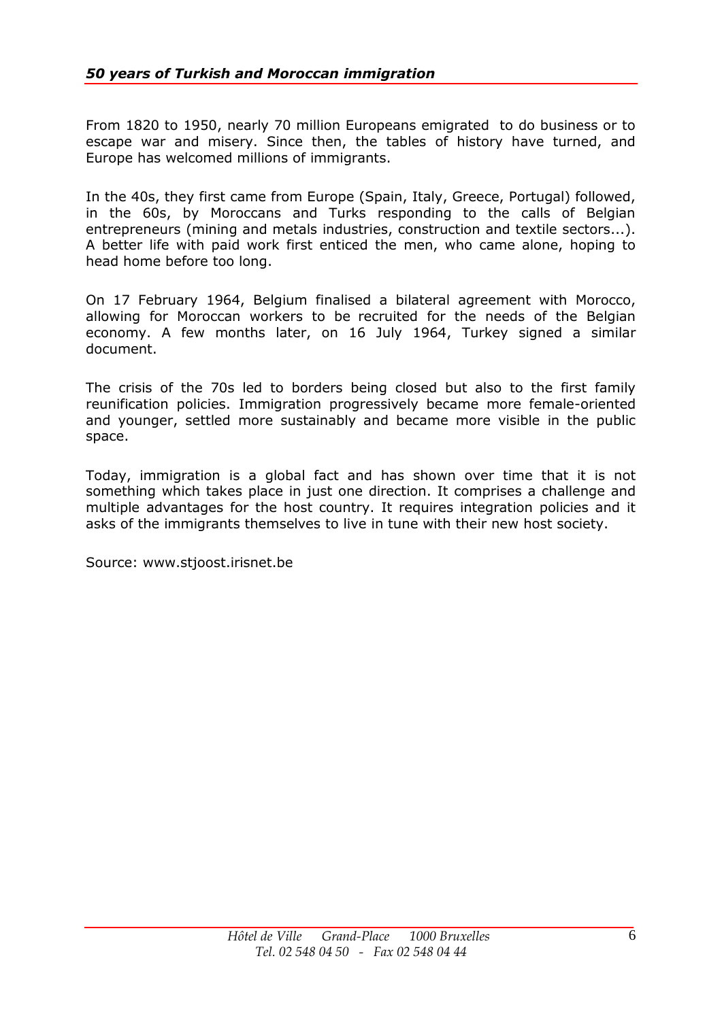From 1820 to 1950, nearly 70 million Europeans emigrated to do business or to escape war and misery. Since then, the tables of history have turned, and Europe has welcomed millions of immigrants.

In the 40s, they first came from Europe (Spain, Italy, Greece, Portugal) followed, in the 60s, by Moroccans and Turks responding to the calls of Belgian entrepreneurs (mining and metals industries, construction and textile sectors...). A better life with paid work first enticed the men, who came alone, hoping to head home before too long.

On 17 February 1964, Belgium finalised a bilateral agreement with Morocco, allowing for Moroccan workers to be recruited for the needs of the Belgian economy. A few months later, on 16 July 1964, Turkey signed a similar document.

The crisis of the 70s led to borders being closed but also to the first family reunification policies. Immigration progressively became more female-oriented and younger, settled more sustainably and became more visible in the public space.

Today, immigration is a global fact and has shown over time that it is not something which takes place in just one direction. It comprises a challenge and multiple advantages for the host country. It requires integration policies and it asks of the immigrants themselves to live in tune with their new host society.

Source: www.stjoost.irisnet.be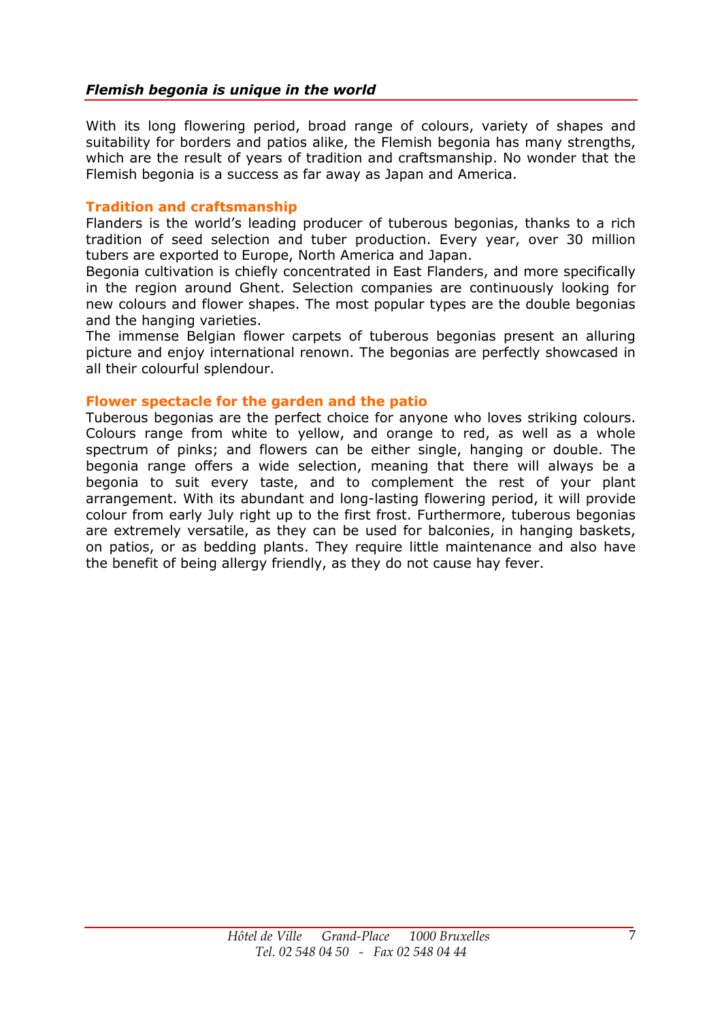## *Flemish begonia is unique in the world*

With its long flowering period, broad range of colours, variety of shapes and suitability for borders and patios alike, the Flemish begonia has many strengths, which are the result of years of tradition and craftsmanship. No wonder that the Flemish begonia is a success as far away as Japan and America.

#### **Tradition and craftsmanship**

Flanders is the world's leading producer of tuberous begonias, thanks to a rich tradition of seed selection and tuber production. Every year, over 30 million tubers are exported to Europe, North America and Japan.

Begonia cultivation is chiefly concentrated in East Flanders, and more specifically in the region around Ghent. Selection companies are continuously looking for new colours and flower shapes. The most popular types are the double begonias and the hanging varieties.

The immense Belgian flower carpets of tuberous begonias present an alluring picture and enjoy international renown. The begonias are perfectly showcased in all their colourful splendour.

#### **Flower spectacle for the garden and the patio**

Tuberous begonias are the perfect choice for anyone who loves striking colours. Colours range from white to yellow, and orange to red, as well as a whole spectrum of pinks; and flowers can be either single, hanging or double. The begonia range offers a wide selection, meaning that there will always be a begonia to suit every taste, and to complement the rest of your plant arrangement. With its abundant and long-lasting flowering period, it will provide colour from early July right up to the first frost. Furthermore, tuberous begonias are extremely versatile, as they can be used for balconies, in hanging baskets, on patios, or as bedding plants. They require little maintenance and also have the benefit of being allergy friendly, as they do not cause hay fever.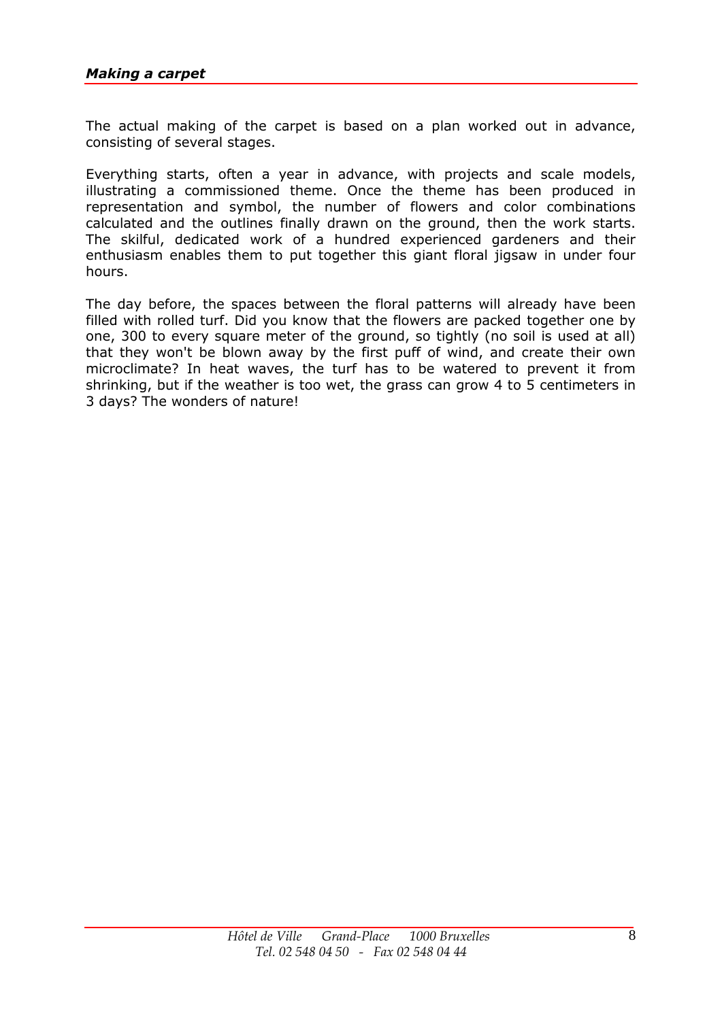The actual making of the carpet is based on a plan worked out in advance, consisting of several stages.

Everything starts, often a year in advance, with projects and scale models, illustrating a commissioned theme. Once the theme has been produced in representation and symbol, the number of flowers and color combinations calculated and the outlines finally drawn on the ground, then the work starts. The skilful, dedicated work of a hundred experienced gardeners and their enthusiasm enables them to put together this giant floral jigsaw in under four hours.

The day before, the spaces between the floral patterns will already have been filled with rolled turf. Did you know that the flowers are packed together one by one, 300 to every square meter of the ground, so tightly (no soil is used at all) that they won't be blown away by the first puff of wind, and create their own microclimate? In heat waves, the turf has to be watered to prevent it from shrinking, but if the weather is too wet, the grass can grow 4 to 5 centimeters in 3 days? The wonders of nature!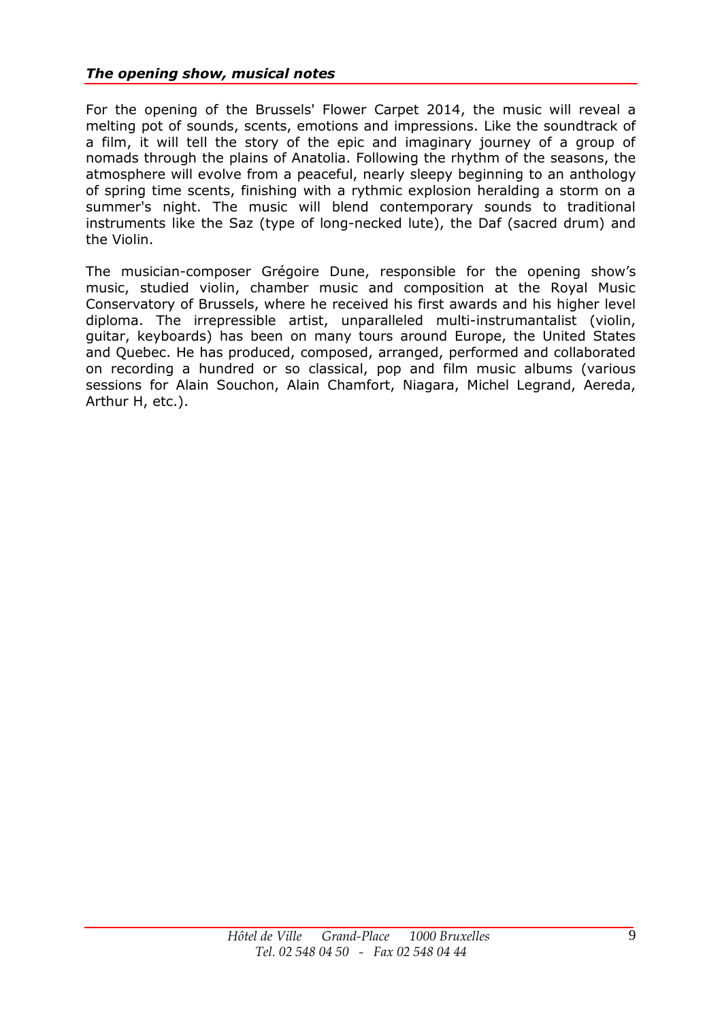## *The opening show, musical notes*

For the opening of the Brussels' Flower Carpet 2014, the music will reveal a melting pot of sounds, scents, emotions and impressions. Like the soundtrack of a film, it will tell the story of the epic and imaginary journey of a group of nomads through the plains of Anatolia. Following the rhythm of the seasons, the atmosphere will evolve from a peaceful, nearly sleepy beginning to an anthology of spring time scents, finishing with a rythmic explosion heralding a storm on a summer's night. The music will blend contemporary sounds to traditional instruments like the Saz (type of long-necked lute), the Daf (sacred drum) and the Violin.

The musician-composer Grégoire Dune, responsible for the opening show's music, studied violin, chamber music and composition at the Royal Music Conservatory of Brussels, where he received his first awards and his higher level diploma. The irrepressible artist, unparalleled multi-instrumantalist (violin, guitar, keyboards) has been on many tours around Europe, the United States and Quebec. He has produced, composed, arranged, performed and collaborated on recording a hundred or so classical, pop and film music albums (various sessions for Alain Souchon, Alain Chamfort, Niagara, Michel Legrand, Aereda, Arthur H, etc.).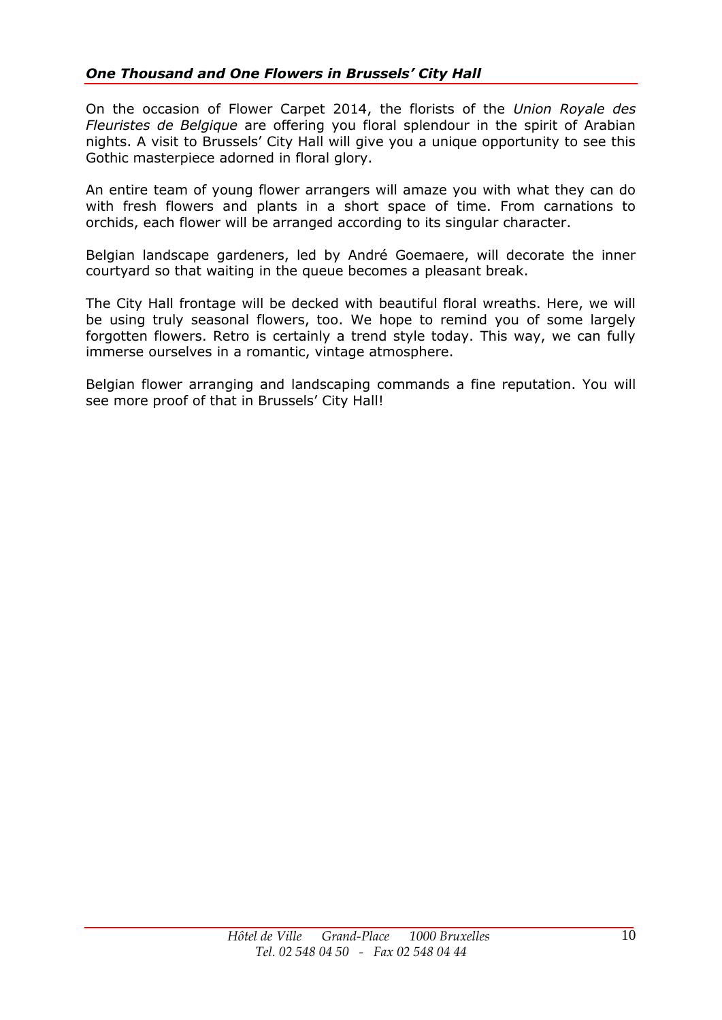On the occasion of Flower Carpet 2014, the florists of the *Union Royale des Fleuristes de Belgique* are offering you floral splendour in the spirit of Arabian nights. A visit to Brussels' City Hall will give you a unique opportunity to see this Gothic masterpiece adorned in floral glory.

An entire team of young flower arrangers will amaze you with what they can do with fresh flowers and plants in a short space of time. From carnations to orchids, each flower will be arranged according to its singular character.

Belgian landscape gardeners, led by André Goemaere, will decorate the inner courtyard so that waiting in the queue becomes a pleasant break.

The City Hall frontage will be decked with beautiful floral wreaths. Here, we will be using truly seasonal flowers, too. We hope to remind you of some largely forgotten flowers. Retro is certainly a trend style today. This way, we can fully immerse ourselves in a romantic, vintage atmosphere.

Belgian flower arranging and landscaping commands a fine reputation. You will see more proof of that in Brussels' City Hall!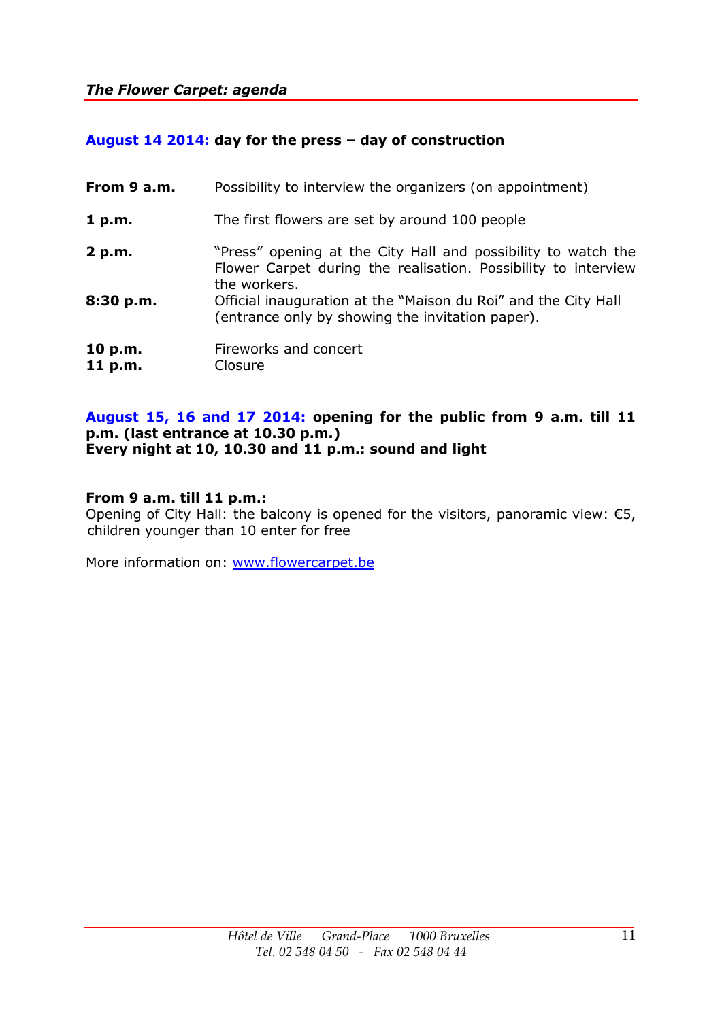# **August 14 2014: day for the press – day of construction**

| From 9 a.m.        | Possibility to interview the organizers (on appointment)                                                                                        |
|--------------------|-------------------------------------------------------------------------------------------------------------------------------------------------|
| 1 p.m.             | The first flowers are set by around 100 people                                                                                                  |
| 2 p.m.             | "Press" opening at the City Hall and possibility to watch the<br>Flower Carpet during the realisation. Possibility to interview<br>the workers. |
| 8:30 p.m.          | Official inauguration at the "Maison du Roi" and the City Hall<br>(entrance only by showing the invitation paper).                              |
| 10 p.m.<br>11 p.m. | Fireworks and concert<br>Closure                                                                                                                |

#### **August 15, 16 and 17 2014: opening for the public from 9 a.m. till 11 p.m. (last entrance at 10.30 p.m.) Every night at 10, 10.30 and 11 p.m.: sound and light**

## **From 9 a.m. till 11 p.m.:**

Opening of City Hall: the balcony is opened for the visitors, panoramic view:  $\epsilon$ 5, children younger than 10 enter for free

More information on: [www.flowercarpet.be](http://www.flowercarpet.be/)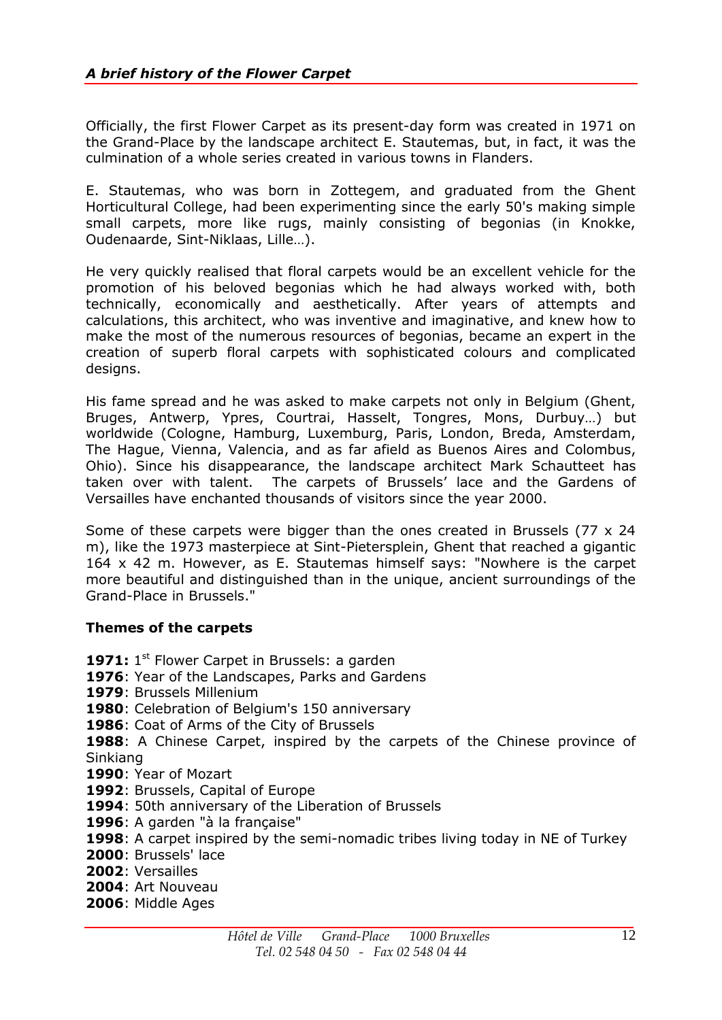Officially, the first Flower Carpet as its present-day form was created in 1971 on the Grand-Place by the landscape architect E. Stautemas, but, in fact, it was the culmination of a whole series created in various towns in Flanders.

E. Stautemas, who was born in Zottegem, and graduated from the Ghent Horticultural College, had been experimenting since the early 50's making simple small carpets, more like rugs, mainly consisting of begonias (in Knokke, Oudenaarde, Sint-Niklaas, Lille…).

He very quickly realised that floral carpets would be an excellent vehicle for the promotion of his beloved begonias which he had always worked with, both technically, economically and aesthetically. After years of attempts and calculations, this architect, who was inventive and imaginative, and knew how to make the most of the numerous resources of begonias, became an expert in the creation of superb floral carpets with sophisticated colours and complicated designs.

His fame spread and he was asked to make carpets not only in Belgium (Ghent, Bruges, Antwerp, Ypres, Courtrai, Hasselt, Tongres, Mons, Durbuy…) but worldwide (Cologne, Hamburg, Luxemburg, Paris, London, Breda, Amsterdam, The Hague, Vienna, Valencia, and as far afield as Buenos Aires and Colombus, Ohio). Since his disappearance, the landscape architect Mark Schautteet has taken over with talent. The carpets of Brussels' lace and the Gardens of Versailles have enchanted thousands of visitors since the year 2000.

Some of these carpets were bigger than the ones created in Brussels (77 x 24 m), like the 1973 masterpiece at Sint-Pietersplein, Ghent that reached a gigantic 164 x 42 m. However, as E. Stautemas himself says: "Nowhere is the carpet more beautiful and distinguished than in the unique, ancient surroundings of the Grand-Place in Brussels."

## **Themes of the carpets**

1971: 1<sup>st</sup> Flower Carpet in Brussels: a garden : Year of the Landscapes, Parks and Gardens : Brussels Millenium : Celebration of Belgium's 150 anniversary : Coat of Arms of the City of Brussels : A Chinese Carpet, inspired by the carpets of the Chinese province of Sinkiang : Year of Mozart : Brussels, Capital of Europe : 50th anniversary of the Liberation of Brussels : A garden "à la française" : A carpet inspired by the semi-nomadic tribes living today in NE of Turkey : Brussels' lace : Versailles : Art Nouveau

**2006**: Middle Ages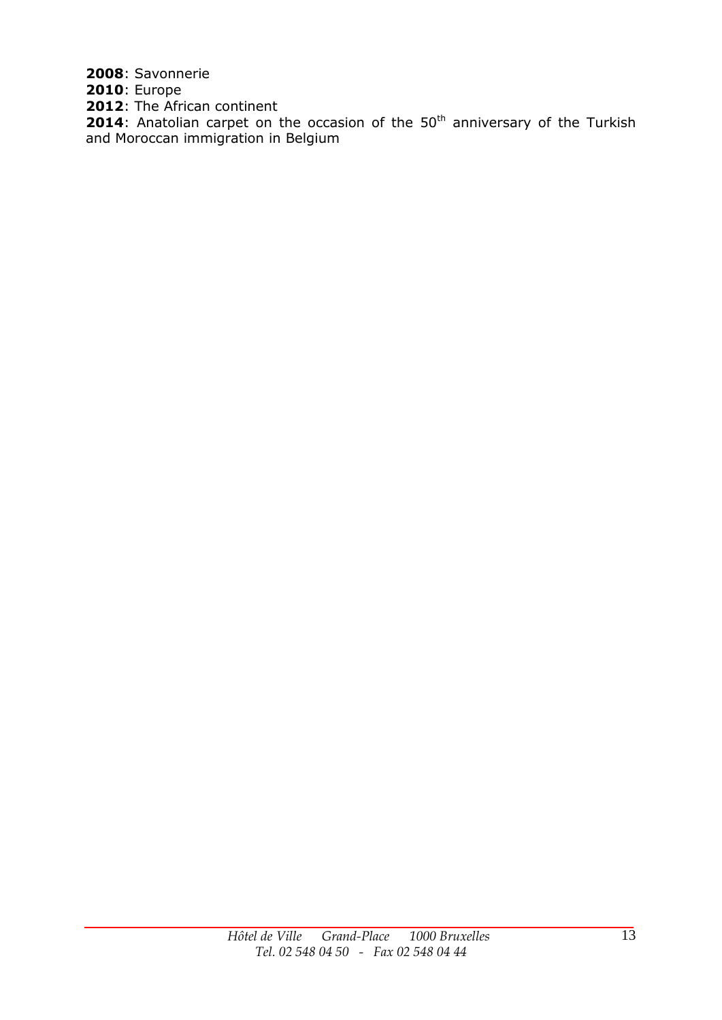**2008**: Savonnerie

**2010**: Europe

**2012**: The African continent

**2014:** The Amean continent and Moroccan immigration in Belgium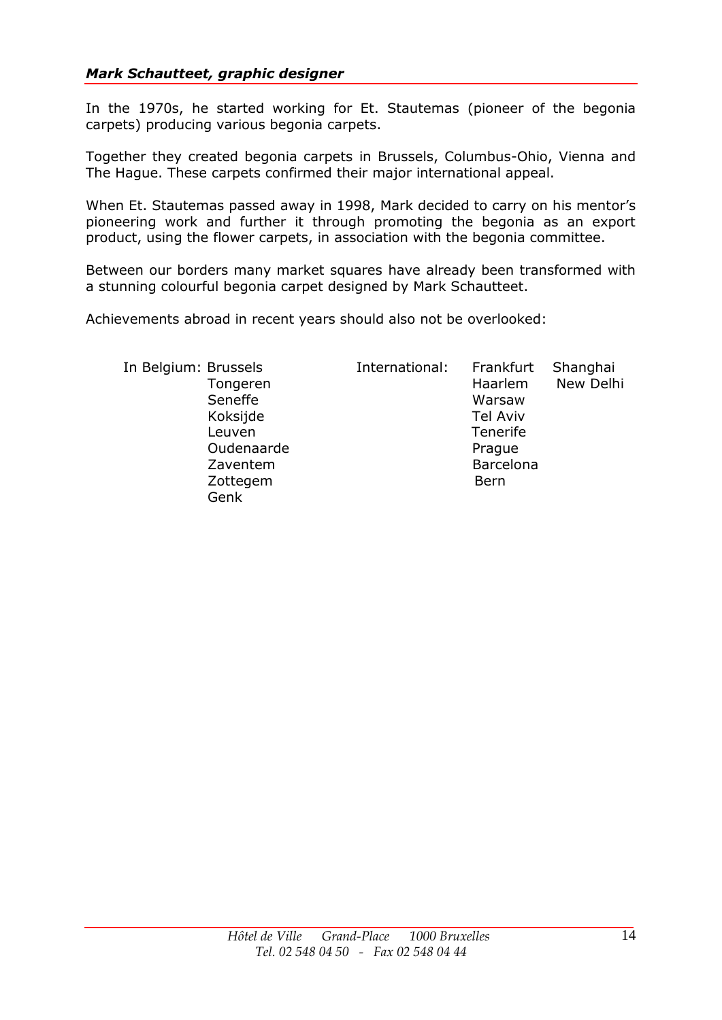## *Mark Schautteet, graphic designer*

In the 1970s, he started working for Et. Stautemas (pioneer of the begonia carpets) producing various begonia carpets.

Together they created begonia carpets in Brussels, Columbus-Ohio, Vienna and The Hague. These carpets confirmed their major international appeal.

When Et. Stautemas passed away in 1998, Mark decided to carry on his mentor's pioneering work and further it through promoting the begonia as an export product, using the flower carpets, in association with the begonia committee.

Between our borders many market squares have already been transformed with a stunning colourful begonia carpet designed by Mark Schautteet.

Achievements abroad in recent years should also not be overlooked:

Genk

 In Belgium: Brussels International: Frankfurt Shanghai Tongeren Haarlem New Delhi Seneffe Warsaw Koksijde Tel Aviv Leuven **Tenerife** Oudenaarde Prague Zaventem Barcelona Zottegem Bern